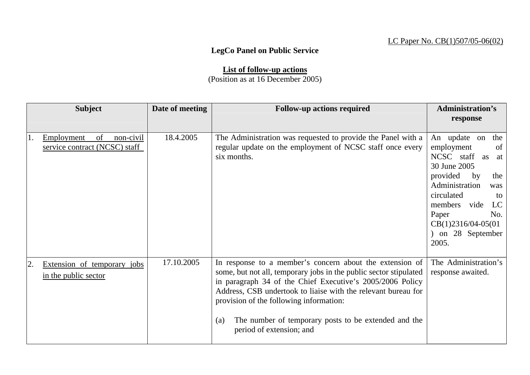## LC Paper No. CB(1)507/05-06(02)

## **LegCo Panel on Public Service**

**List of follow-up actions** (Position as at 16 December 2005)

|     | <b>Subject</b>                                                 | Date of meeting | <b>Follow-up actions required</b>                                                                                                                                                                                                                                                                                                                                                                 | <b>Administration's</b><br>response                                                                                                                                                                                                                |
|-----|----------------------------------------------------------------|-----------------|---------------------------------------------------------------------------------------------------------------------------------------------------------------------------------------------------------------------------------------------------------------------------------------------------------------------------------------------------------------------------------------------------|----------------------------------------------------------------------------------------------------------------------------------------------------------------------------------------------------------------------------------------------------|
| 11. | of<br>Employment<br>non-civil<br>service contract (NCSC) staff | 18.4.2005       | The Administration was requested to provide the Panel with a<br>regular update on the employment of NCSC staff once every<br>six months.                                                                                                                                                                                                                                                          | An update on<br>the<br>employment<br>of<br>NCSC staff<br>as<br>at<br>30 June 2005<br>provided<br>by<br>the<br>Administration<br>was<br>circulated<br>to<br>members vide<br>LC<br>Paper<br>No.<br>$CB(1)2316/04-05(01)$<br>on 28 September<br>2005. |
| 2.  | Extension of temporary jobs<br>in the public sector            | 17.10.2005      | In response to a member's concern about the extension of<br>some, but not all, temporary jobs in the public sector stipulated<br>in paragraph 34 of the Chief Executive's 2005/2006 Policy<br>Address, CSB undertook to liaise with the relevant bureau for<br>provision of the following information:<br>The number of temporary posts to be extended and the<br>(a)<br>period of extension; and | The Administration's<br>response awaited.                                                                                                                                                                                                          |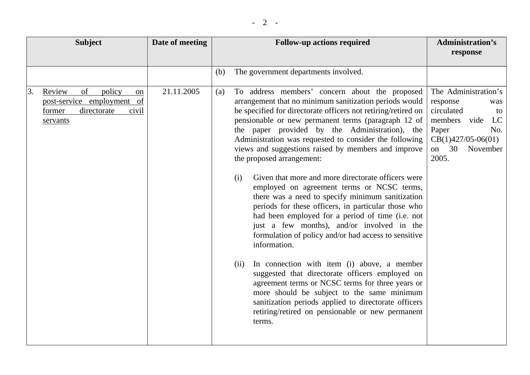| <b>Subject</b>                                                                                                 | Date of meeting | <b>Follow-up actions required</b>                                                                                                                                                                                                                                                                                                                                                                                                                                                                                                                                                                                                                                                                                                                                                                                                                                                                                                                                                                                                                                                                                                                                         | <b>Administration's</b><br>response                                                                                                                        |
|----------------------------------------------------------------------------------------------------------------|-----------------|---------------------------------------------------------------------------------------------------------------------------------------------------------------------------------------------------------------------------------------------------------------------------------------------------------------------------------------------------------------------------------------------------------------------------------------------------------------------------------------------------------------------------------------------------------------------------------------------------------------------------------------------------------------------------------------------------------------------------------------------------------------------------------------------------------------------------------------------------------------------------------------------------------------------------------------------------------------------------------------------------------------------------------------------------------------------------------------------------------------------------------------------------------------------------|------------------------------------------------------------------------------------------------------------------------------------------------------------|
|                                                                                                                |                 | The government departments involved.<br>(b)                                                                                                                                                                                                                                                                                                                                                                                                                                                                                                                                                                                                                                                                                                                                                                                                                                                                                                                                                                                                                                                                                                                               |                                                                                                                                                            |
| policy<br>Review<br>of<br>3.<br>on<br>post-service employment of<br>directorate<br>former<br>civil<br>servants | 21.11.2005      | To address members' concern about the proposed<br>(a)<br>arrangement that no minimum sanitization periods would<br>be specified for directorate officers not retiring/retired on<br>pensionable or new permanent terms (paragraph 12 of<br>the paper provided by the Administration), the<br>Administration was requested to consider the following<br>views and suggestions raised by members and improve<br>the proposed arrangement:<br>Given that more and more directorate officers were<br>(i)<br>employed on agreement terms or NCSC terms,<br>there was a need to specify minimum sanitization<br>periods for these officers, in particular those who<br>had been employed for a period of time (i.e. not<br>just a few months), and/or involved in the<br>formulation of policy and/or had access to sensitive<br>information.<br>In connection with item (i) above, a member<br>(ii)<br>suggested that directorate officers employed on<br>agreement terms or NCSC terms for three years or<br>more should be subject to the same minimum<br>sanitization periods applied to directorate officers<br>retiring/retired on pensionable or new permanent<br>terms. | The Administration's<br>response<br>was<br>circulated<br>to<br>members vide<br>LC<br>Paper<br>No.<br>$CB(1)427/05-06(01)$<br>on<br>30<br>November<br>2005. |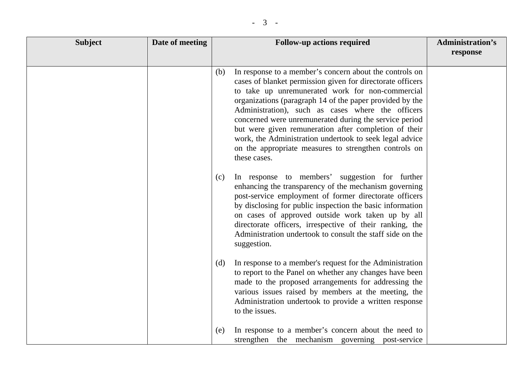| <b>Subject</b> | Date of meeting | <b>Follow-up actions required</b>                                                                                                                                                                                                                                                                                                                                                                                                                                                                                                                                                                                                                                          | <b>Administration's</b><br>response |
|----------------|-----------------|----------------------------------------------------------------------------------------------------------------------------------------------------------------------------------------------------------------------------------------------------------------------------------------------------------------------------------------------------------------------------------------------------------------------------------------------------------------------------------------------------------------------------------------------------------------------------------------------------------------------------------------------------------------------------|-------------------------------------|
|                |                 | In response to a member's concern about the controls on<br>(b)<br>cases of blanket permission given for directorate officers<br>to take up unremunerated work for non-commercial<br>organizations (paragraph 14 of the paper provided by the<br>Administration), such as cases where the officers<br>concerned were unremunerated during the service period<br>but were given remuneration after completion of their<br>work, the Administration undertook to seek legal advice<br>on the appropriate measures to strengthen controls on<br>these cases.<br>In response to members' suggestion for further<br>(c)<br>enhancing the transparency of the mechanism governing |                                     |
|                |                 | post-service employment of former directorate officers<br>by disclosing for public inspection the basic information<br>on cases of approved outside work taken up by all<br>directorate officers, irrespective of their ranking, the<br>Administration undertook to consult the staff side on the<br>suggestion.                                                                                                                                                                                                                                                                                                                                                           |                                     |
|                |                 | In response to a member's request for the Administration<br>(d)<br>to report to the Panel on whether any changes have been<br>made to the proposed arrangements for addressing the<br>various issues raised by members at the meeting, the<br>Administration undertook to provide a written response<br>to the issues.                                                                                                                                                                                                                                                                                                                                                     |                                     |
|                |                 | In response to a member's concern about the need to<br>(e)<br>strengthen the mechanism governing<br>post-service                                                                                                                                                                                                                                                                                                                                                                                                                                                                                                                                                           |                                     |